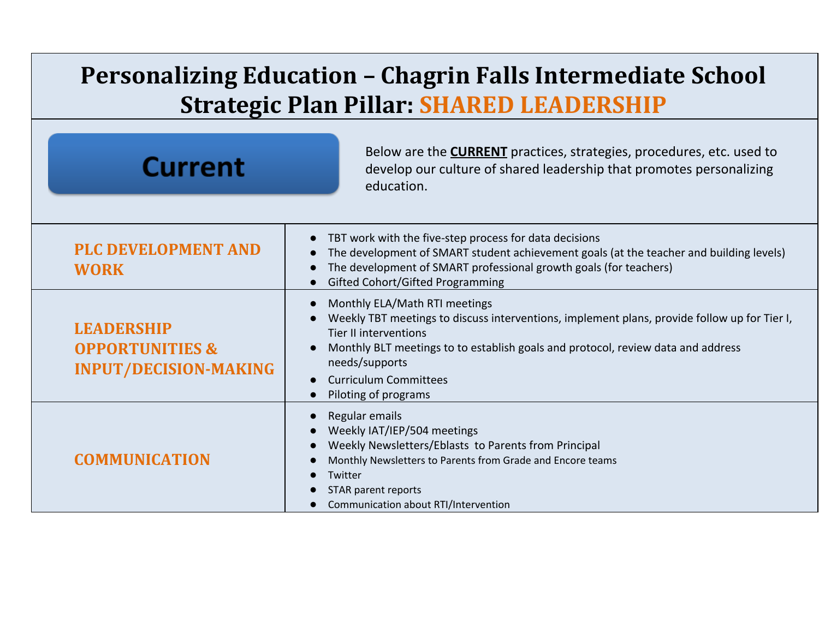## **Personalizing Education – Chagrin Falls Intermediate School Strategic Plan Pillar: SHARED LEADERSHIP**

| <b>Current</b>                                                                  | Below are the <b>CURRENT</b> practices, strategies, procedures, etc. used to<br>develop our culture of shared leadership that promotes personalizing<br>education.                                                                                                                                                          |
|---------------------------------------------------------------------------------|-----------------------------------------------------------------------------------------------------------------------------------------------------------------------------------------------------------------------------------------------------------------------------------------------------------------------------|
| <b>PLC DEVELOPMENT AND</b><br><b>WORK</b>                                       | TBT work with the five-step process for data decisions<br>The development of SMART student achievement goals (at the teacher and building levels)<br>The development of SMART professional growth goals (for teachers)<br><b>Gifted Cohort/Gifted Programming</b>                                                           |
| <b>LEADERSHIP</b><br><b>OPPORTUNITIES &amp;</b><br><b>INPUT/DECISION-MAKING</b> | Monthly ELA/Math RTI meetings<br>Weekly TBT meetings to discuss interventions, implement plans, provide follow up for Tier I,<br><b>Tier II interventions</b><br>Monthly BLT meetings to to establish goals and protocol, review data and address<br>needs/supports<br><b>Curriculum Committees</b><br>Piloting of programs |
| <b>COMMUNICATION</b>                                                            | Regular emails<br>Weekly IAT/IEP/504 meetings<br>Weekly Newsletters/Eblasts to Parents from Principal<br>Monthly Newsletters to Parents from Grade and Encore teams<br>Twitter<br>STAR parent reports<br>Communication about RTI/Intervention                                                                               |